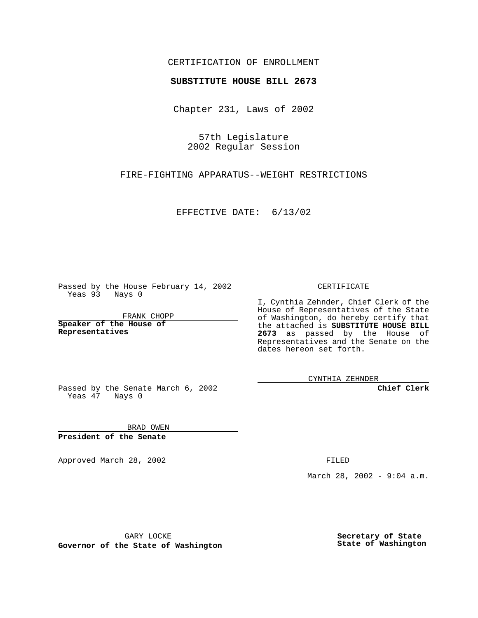## CERTIFICATION OF ENROLLMENT

## **SUBSTITUTE HOUSE BILL 2673**

Chapter 231, Laws of 2002

57th Legislature 2002 Regular Session

FIRE-FIGHTING APPARATUS--WEIGHT RESTRICTIONS

EFFECTIVE DATE: 6/13/02

Passed by the House February 14, 2002 Yeas 93 Nays 0

FRANK CHOPP

**Speaker of the House of Representatives**

CERTIFICATE

I, Cynthia Zehnder, Chief Clerk of the House of Representatives of the State of Washington, do hereby certify that the attached is **SUBSTITUTE HOUSE BILL 2673** as passed by the House of Representatives and the Senate on the dates hereon set forth.

CYNTHIA ZEHNDER

**Chief Clerk**

Passed by the Senate March 6, 2002 Yeas  $47$  Nays 0

BRAD OWEN **President of the Senate**

Approved March 28, 2002 **FILED** 

March 28, 2002 - 9:04 a.m.

GARY LOCKE

**Governor of the State of Washington**

**Secretary of State State of Washington**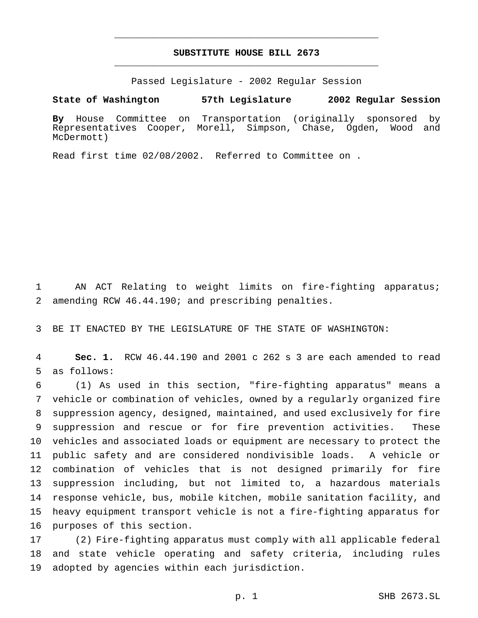## **SUBSTITUTE HOUSE BILL 2673** \_\_\_\_\_\_\_\_\_\_\_\_\_\_\_\_\_\_\_\_\_\_\_\_\_\_\_\_\_\_\_\_\_\_\_\_\_\_\_\_\_\_\_\_\_\_\_

\_\_\_\_\_\_\_\_\_\_\_\_\_\_\_\_\_\_\_\_\_\_\_\_\_\_\_\_\_\_\_\_\_\_\_\_\_\_\_\_\_\_\_\_\_\_\_

Passed Legislature - 2002 Regular Session

**State of Washington 57th Legislature 2002 Regular Session**

**By** House Committee on Transportation (originally sponsored by Representatives Cooper, Morell, Simpson, Chase, Ogden, Wood and McDermott)

Read first time 02/08/2002. Referred to Committee on .

 AN ACT Relating to weight limits on fire-fighting apparatus; amending RCW 46.44.190; and prescribing penalties.

BE IT ENACTED BY THE LEGISLATURE OF THE STATE OF WASHINGTON:

 **Sec. 1.** RCW 46.44.190 and 2001 c 262 s 3 are each amended to read as follows:

 (1) As used in this section, "fire-fighting apparatus" means a vehicle or combination of vehicles, owned by a regularly organized fire suppression agency, designed, maintained, and used exclusively for fire suppression and rescue or for fire prevention activities. These vehicles and associated loads or equipment are necessary to protect the public safety and are considered nondivisible loads. A vehicle or combination of vehicles that is not designed primarily for fire suppression including, but not limited to, a hazardous materials response vehicle, bus, mobile kitchen, mobile sanitation facility, and heavy equipment transport vehicle is not a fire-fighting apparatus for purposes of this section.

 (2) Fire-fighting apparatus must comply with all applicable federal and state vehicle operating and safety criteria, including rules adopted by agencies within each jurisdiction.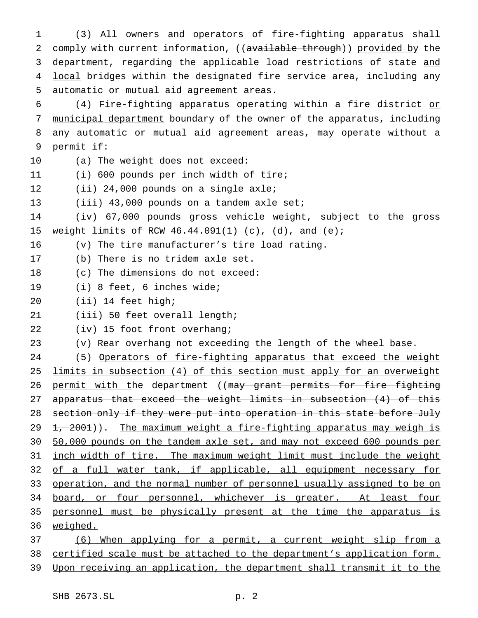(3) All owners and operators of fire-fighting apparatus shall 2 comply with current information, ((available through)) provided by the 3 department, regarding the applicable load restrictions of state and 4 local bridges within the designated fire service area, including any automatic or mutual aid agreement areas.

 (4) Fire-fighting apparatus operating within a fire district or municipal department boundary of the owner of the apparatus, including any automatic or mutual aid agreement areas, may operate without a permit if:

- (a) The weight does not exceed:
- (i) 600 pounds per inch width of tire;
- (ii) 24,000 pounds on a single axle;
- 13 (iii) 43,000 pounds on a tandem axle set;
- (iv) 67,000 pounds gross vehicle weight, subject to the gross weight limits of RCW 46.44.091(1) (c), (d), and (e);
- (v) The tire manufacturer's tire load rating.
- (b) There is no tridem axle set.
- (c) The dimensions do not exceed:
- (i) 8 feet, 6 inches wide;
- (ii) 14 feet high;
- (iii) 50 feet overall length;
- (iv) 15 foot front overhang;
- (v) Rear overhang not exceeding the length of the wheel base.

 (5) Operators of fire-fighting apparatus that exceed the weight limits in subsection (4) of this section must apply for an overweight 26 permit with the department ((may grant permits for fire fighting apparatus that exceed the weight limits in subsection (4) of this section only if they were put into operation in this state before July 29 1, 2001)). The maximum weight a fire-fighting apparatus may weigh is 50,000 pounds on the tandem axle set, and may not exceed 600 pounds per inch width of tire. The maximum weight limit must include the weight 32 of a full water tank, if applicable, all equipment necessary for 33 operation, and the normal number of personnel usually assigned to be on 34 board, or four personnel, whichever is greater. At least four personnel must be physically present at the time the apparatus is 36 weighed.

 (6) When applying for a permit, a current weight slip from a certified scale must be attached to the department's application form. Upon receiving an application, the department shall transmit it to the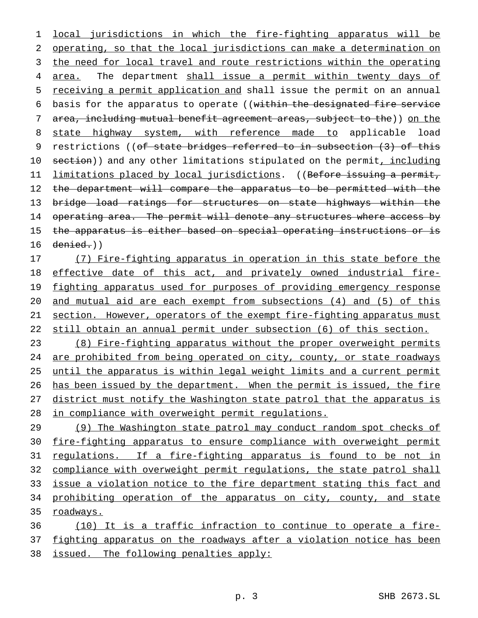1 local jurisdictions in which the fire-fighting apparatus will be 2 operating, so that the local jurisdictions can make a determination on 3 the need for local travel and route restrictions within the operating 4 area. The department shall issue a permit within twenty days of 5 receiving a permit application and shall issue the permit on an annual 6 basis for the apparatus to operate ((within the designated fire service 7 area, including mutual benefit agreement areas, subject to the)) on the 8 state highway system, with reference made to applicable load 9 restrictions ((of state bridges referred to in subsection (3) of this 10 section)) and any other limitations stipulated on the permit, including 11 limitations placed by local jurisdictions. ((Before issuing a permit, 12 the department will compare the apparatus to be permitted with the 13 bridge load ratings for structures on state highways within the 14 operating area. The permit will denote any structures where access by 15 the apparatus is either based on special operating instructions or is 16 denied.))

17 (7) Fire-fighting apparatus in operation in this state before the effective date of this act, and privately owned industrial fire-19 fighting apparatus used for purposes of providing emergency response and mutual aid are each exempt from subsections (4) and (5) of this section. However, operators of the exempt fire-fighting apparatus must still obtain an annual permit under subsection (6) of this section.

 (8) Fire-fighting apparatus without the proper overweight permits are prohibited from being operated on city, county, or state roadways until the apparatus is within legal weight limits and a current permit has been issued by the department. When the permit is issued, the fire 27 district must notify the Washington state patrol that the apparatus is in compliance with overweight permit regulations.

29 (9) The Washington state patrol may conduct random spot checks of 30 fire-fighting apparatus to ensure compliance with overweight permit 31 regulations. If a fire-fighting apparatus is found to be not in 32 compliance with overweight permit regulations, the state patrol shall 33 issue a violation notice to the fire department stating this fact and 34 prohibiting operation of the apparatus on city, county, and state 35 roadways.

36 (10) It is a traffic infraction to continue to operate a fire-37 fighting apparatus on the roadways after a violation notice has been 38 issued. The following penalties apply: